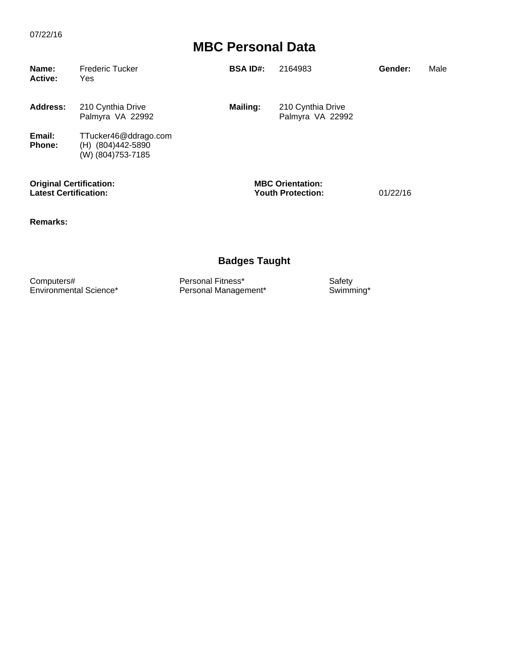| Name:<br><b>Active:</b>                                        | <b>Frederic Tucker</b><br>Yes                                  | <b>BSA ID#:</b> | 2164983                                             | Gender:  | Male |
|----------------------------------------------------------------|----------------------------------------------------------------|-----------------|-----------------------------------------------------|----------|------|
| <b>Address:</b>                                                | 210 Cynthia Drive<br>Palmyra VA 22992                          | <b>Mailing:</b> | 210 Cynthia Drive<br>Palmyra VA 22992               |          |      |
| Email:<br><b>Phone:</b>                                        | TTucker46@ddrago.com<br>(H) (804)442-5890<br>(W) (804)753-7185 |                 |                                                     |          |      |
| <b>Original Certification:</b><br><b>Latest Certification:</b> |                                                                |                 | <b>MBC Orientation:</b><br><b>Youth Protection:</b> | 01/22/16 |      |

**Remarks:**

### **Badges Taught**

Computers# **Computers Exercise Safety**<br>
Environmental Science\* **Personal Management\*** Swimming\* Swimming\* Personal Management\*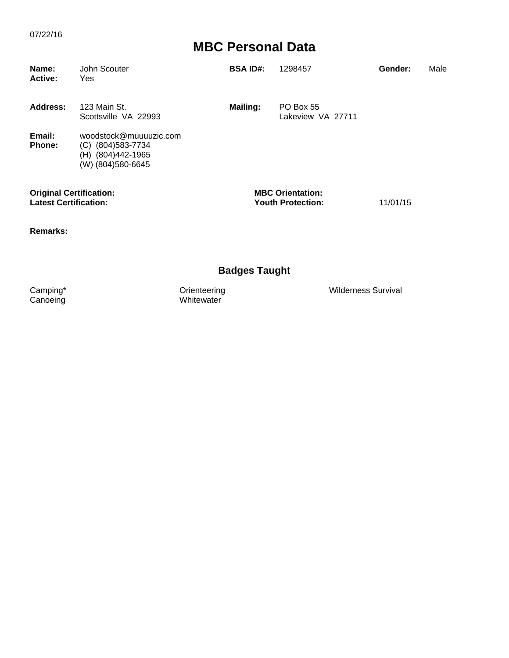| Name:<br><b>Active:</b>                                        | John Scouter<br>Yes                                                                       | <b>BSA ID#:</b> | 1298457                                             | Gender:  | Male |
|----------------------------------------------------------------|-------------------------------------------------------------------------------------------|-----------------|-----------------------------------------------------|----------|------|
| Address:                                                       | 123 Main St.<br>Scottsville VA 22993                                                      | Mailing:        | <b>PO Box 55</b><br>Lakeview VA 27711               |          |      |
| Email:<br><b>Phone:</b>                                        | woodstock@muuuuzic.com<br>(804)583-7734<br>(C)<br>(H) (804)442-1965<br>(W) (804) 580-6645 |                 |                                                     |          |      |
| <b>Original Certification:</b><br><b>Latest Certification:</b> |                                                                                           |                 | <b>MBC Orientation:</b><br><b>Youth Protection:</b> | 11/01/15 |      |

**Remarks:**

### **Badges Taught**

Camping\* Orienteering Wilderness Survival Orienteering<br>Whitewater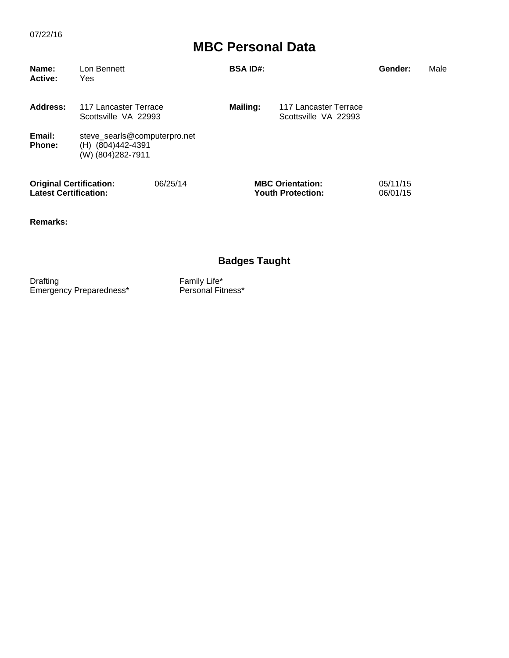| Name:<br><b>Active:</b>                                        | Lon Bennett<br>Yes                                                     |          | <b>BSA ID#:</b> |                                                     | Gender:              | Male |
|----------------------------------------------------------------|------------------------------------------------------------------------|----------|-----------------|-----------------------------------------------------|----------------------|------|
| Address:                                                       | 117 Lancaster Terrace<br>Scottsville VA 22993                          |          | Mailing:        | 117 Lancaster Terrace<br>Scottsville VA 22993       |                      |      |
| Email:<br><b>Phone:</b>                                        | steve_searls@computerpro.net<br>(H) (804)442-4391<br>(W) (804)282-7911 |          |                 |                                                     |                      |      |
| <b>Original Certification:</b><br><b>Latest Certification:</b> |                                                                        | 06/25/14 |                 | <b>MBC Orientation:</b><br><b>Youth Protection:</b> | 05/11/15<br>06/01/15 |      |

**Remarks:**

### **Badges Taught**

Drafting **Family Life Family** Life\* Emergency Preparedness\* Personal Fitness\*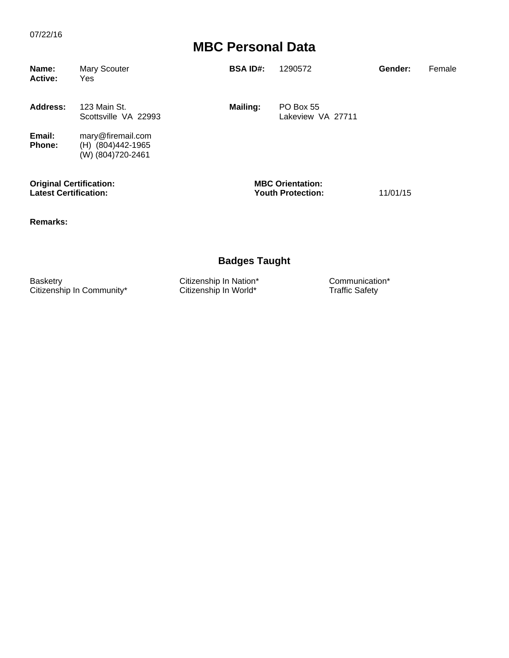| Name:<br><b>Active:</b> | Mary Scouter<br>Yes                                         | <b>BSA ID#:</b> | 1290572                        | Gender: | Female |
|-------------------------|-------------------------------------------------------------|-----------------|--------------------------------|---------|--------|
| Address:                | 123 Main St.<br>Scottsville VA 22993                        | Mailing:        | PO Box 55<br>Lakeview VA 27711 |         |        |
| Email:<br>Phone:        | mary@firemail.com<br>(H) (804)442-1965<br>(W) (804)720-2461 |                 |                                |         |        |

**Original Certification: MBC Orientation: Latest Certification: Youth Protection:** 11/01/15

**Remarks:**

#### **Badges Taught**

Basketry Citizenship In Nation\* Communication\* Citizenship In Communication\* Citizenship In Communication\* Citizenship In World\* Traffic Safety Citizenship In Community\*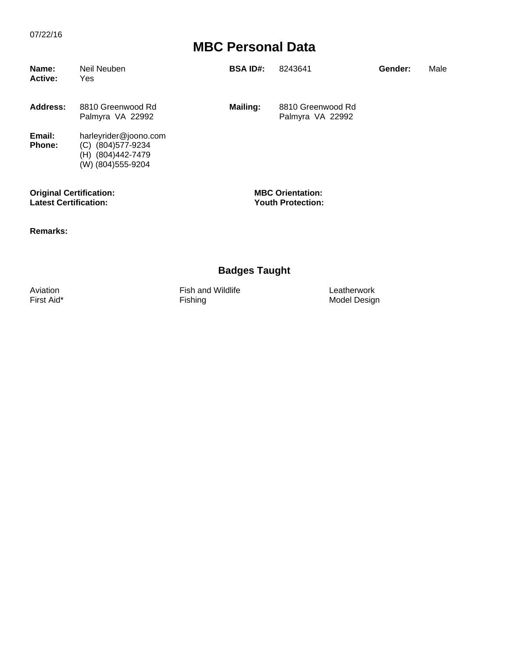| Name:<br><b>Active:</b> | Neil Neuben<br>Yes                                                                          | <b>BSA ID#:</b> | 8243641                               | Gender: | Male |
|-------------------------|---------------------------------------------------------------------------------------------|-----------------|---------------------------------------|---------|------|
| Address:                | 8810 Greenwood Rd<br>Palmyra VA 22992                                                       | Mailing:        | 8810 Greenwood Rd<br>Palmyra VA 22992 |         |      |
| Email:<br><b>Phone:</b> | harleyrider@joono.com<br>(804)577-9234<br>(C)<br>(804)442-7479<br>(H)<br>(W) (804) 555-9204 |                 |                                       |         |      |

**Original Certification: MBC Orientation: Latest Certification: Youth Protection:**

**Remarks:**

#### **Badges Taught**

Aviation Fish and Wildlife Leatherwork

Model Design